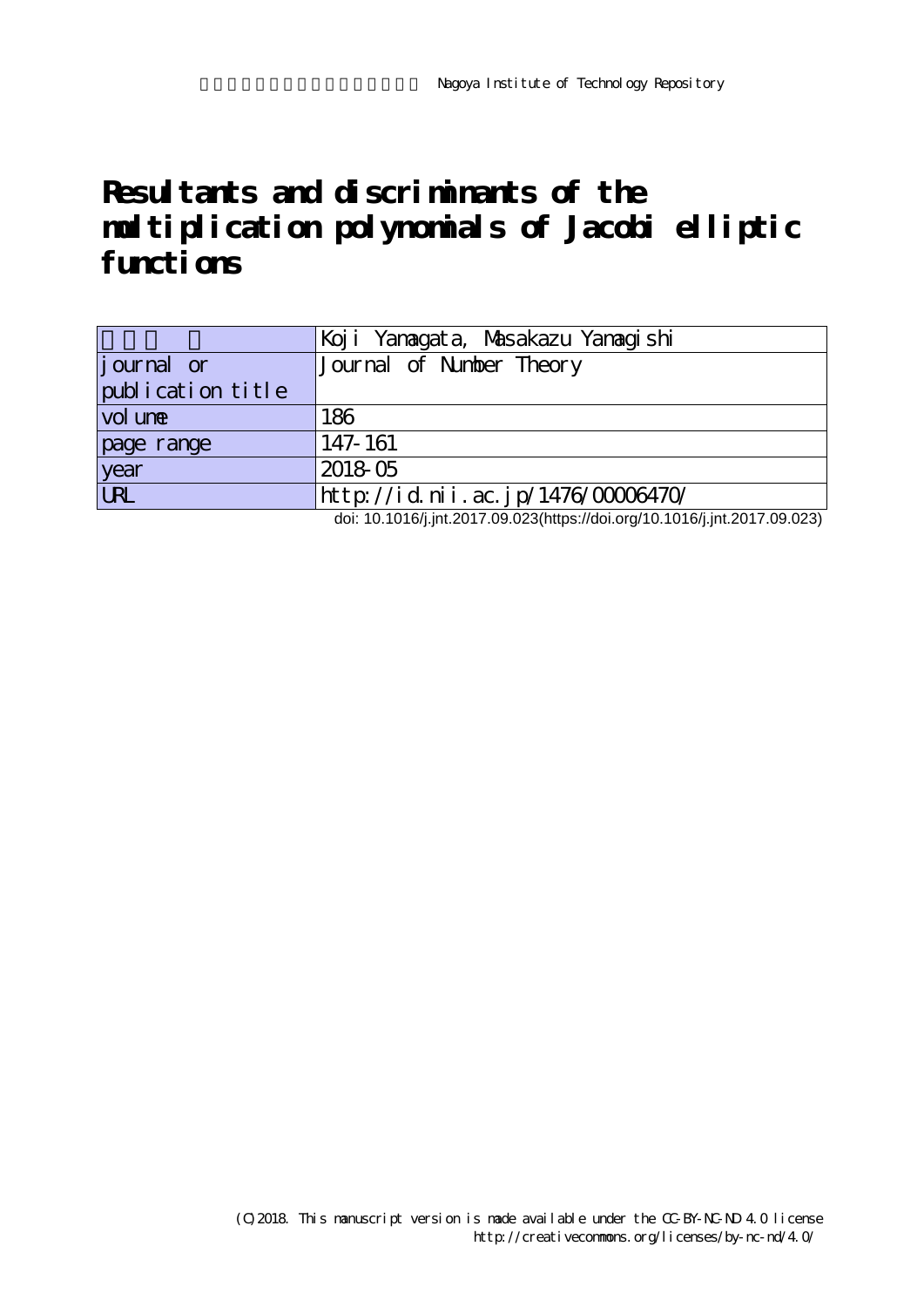# **Resultants and discriminants of the multiplication polynomials of Jacobi elliptic functions**

|                    | Koji Yanagata, Masakazu Yanagishi  |
|--------------------|------------------------------------|
| <i>j</i> ournal or | Journal of Number Theory           |
| publication title  |                                    |
| vol une            | 186                                |
| page range         | 147-161                            |
| year               | 2018 05                            |
| <b>URL</b>         | http://id.nii.ac.jp/1476/00006470/ |

doi: 10.1016/j.jnt.2017.09.023(https://doi.org/10.1016/j.jnt.2017.09.023)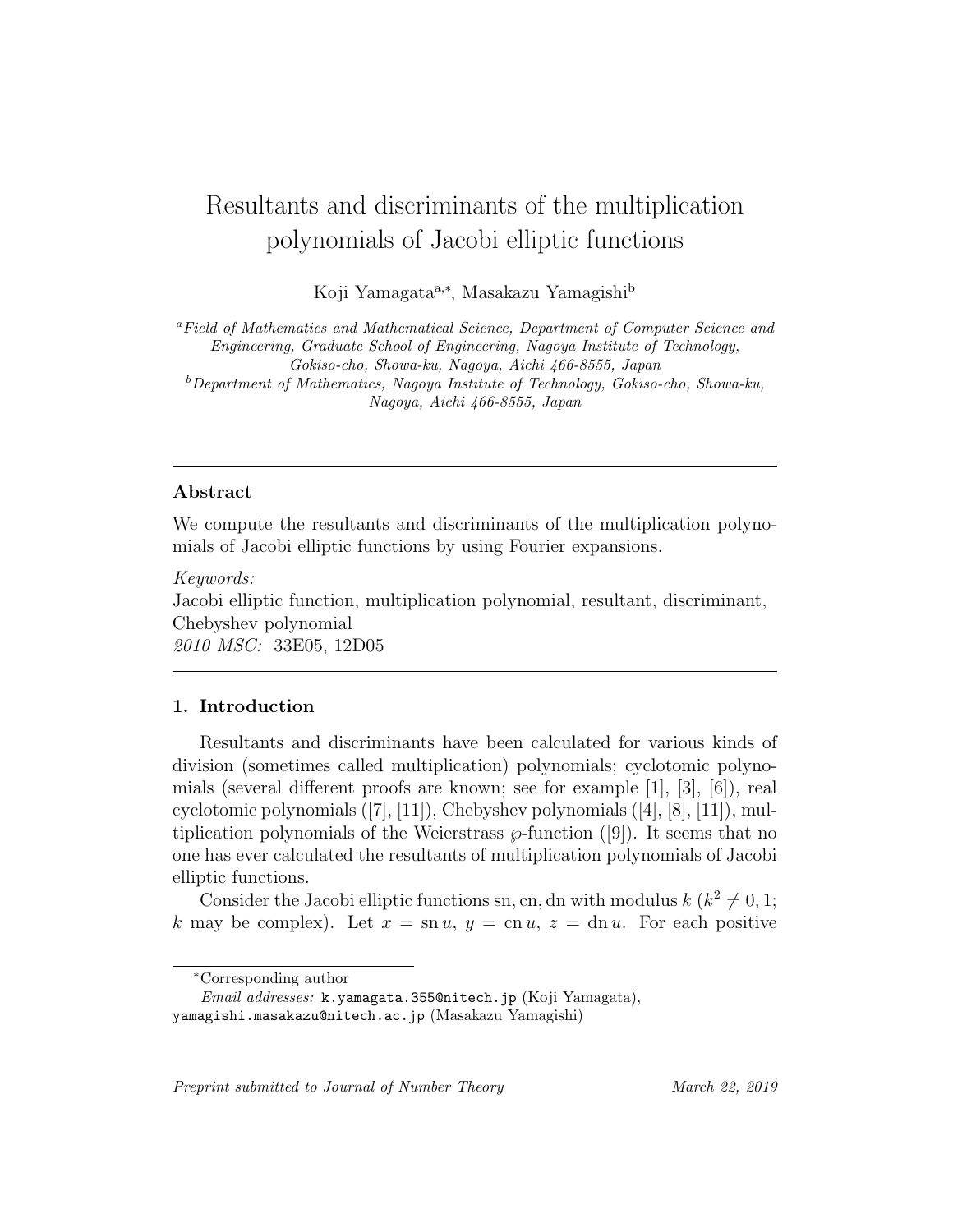# Resultants and discriminants of the multiplication polynomials of Jacobi elliptic functions

Koji Yamagata<sup>a,∗</sup>, Masakazu Yamagishi<sup>b</sup>

<sup>a</sup>Field of Mathematics and Mathematical Science, Department of Computer Science and Engineering, Graduate School of Engineering, Nagoya Institute of Technology, Gokiso-cho, Showa-ku, Nagoya, Aichi 466-8555, Japan  $b$ Department of Mathematics, Nagoya Institute of Technology, Gokiso-cho, Showa-ku, Nagoya, Aichi 466-8555, Japan

### Abstract

We compute the resultants and discriminants of the multiplication polynomials of Jacobi elliptic functions by using Fourier expansions.

Keywords:

Jacobi elliptic function, multiplication polynomial, resultant, discriminant, Chebyshev polynomial 2010 MSC: 33E05, 12D05

#### 1. Introduction

Resultants and discriminants have been calculated for various kinds of division (sometimes called multiplication) polynomials; cyclotomic polynomials (several different proofs are known; see for example [1], [3], [6]), real cyclotomic polynomials  $([7], [11])$ , Chebyshev polynomials  $([4], [8], [11])$ , multiplication polynomials of the Weierstrass  $\wp$ -function ([9]). It seems that no one has ever calculated the resultants of multiplication polynomials of Jacobi elliptic functions.

Consider the Jacobi elliptic functions sn, cn, dn with modulus  $k (k^2 \neq 0, 1;$ k may be complex). Let  $x = \text{sn } u$ ,  $y = \text{cn } u$ ,  $z = \text{dn } u$ . For each positive

Preprint submitted to Journal of Number Theory March 22, 2019

<sup>∗</sup>Corresponding author

Email addresses: k.yamagata.355@nitech.jp (Koji Yamagata), yamagishi.masakazu@nitech.ac.jp (Masakazu Yamagishi)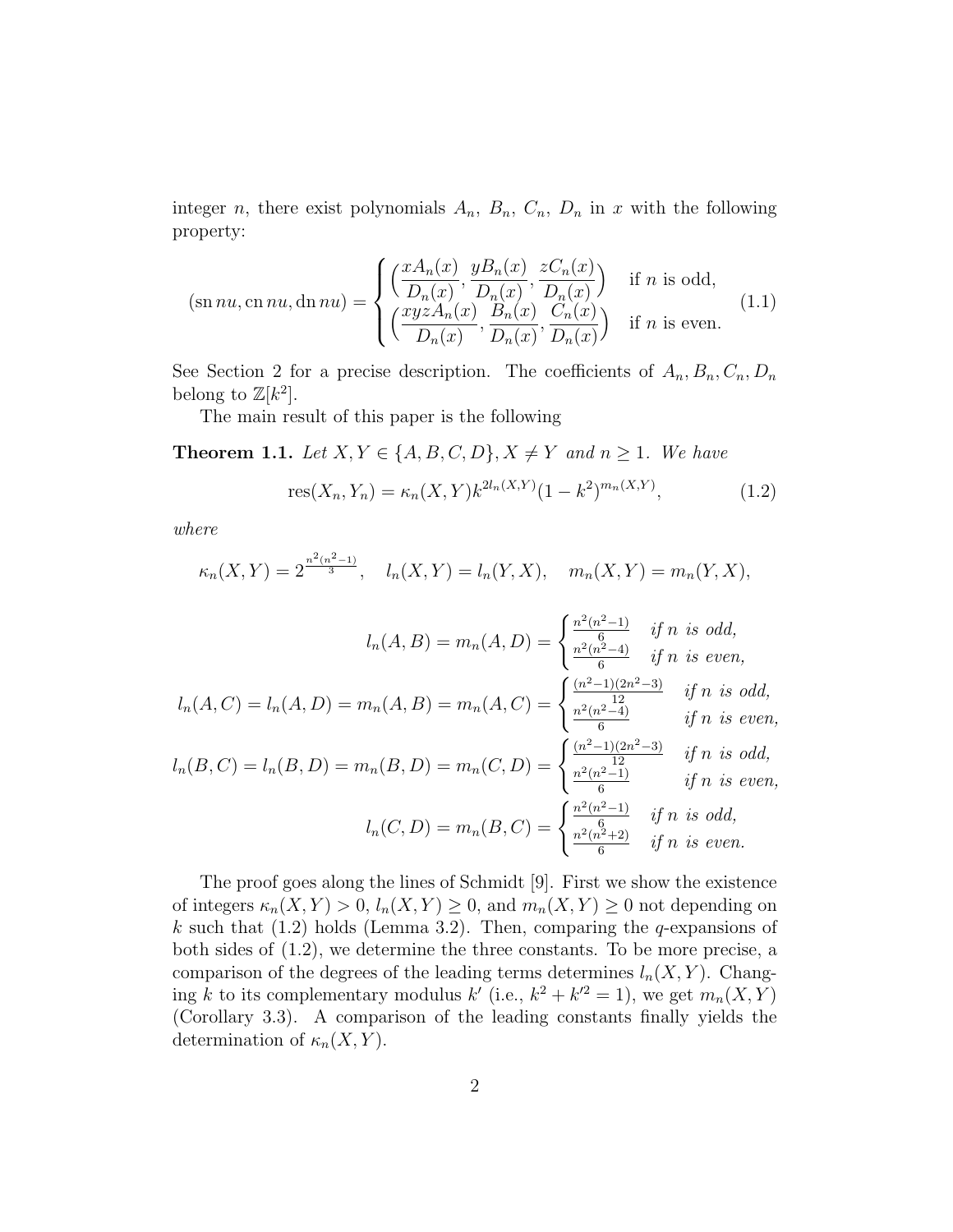integer *n*, there exist polynomials  $A_n$ ,  $B_n$ ,  $C_n$ ,  $D_n$  in x with the following property:

$$
(\operatorname{sn} nu, \operatorname{cn} nu, \operatorname{dn} nu) = \begin{cases} \left(\frac{xA_n(x)}{D_n(x)}, \frac{yB_n(x)}{D_n(x)}, \frac{zC_n(x)}{D_n(x)}\right) & \text{if } n \text{ is odd,} \\ \left(\frac{xyzA_n(x)}{D_n(x)}, \frac{B_n(x)}{D_n(x)}, \frac{C_n(x)}{D_n(x)}\right) & \text{if } n \text{ is even.} \end{cases} (1.1)
$$

See Section 2 for a precise description. The coefficients of  $A_n, B_n, C_n, D_n$ belong to  $\mathbb{Z}[k^2]$ .

The main result of this paper is the following

**Theorem 1.1.** Let  $X, Y \in \{A, B, C, D\}, X \neq Y$  and  $n \geq 1$ . We have

res
$$
(X_n, Y_n) = \kappa_n(X, Y) k^{2l_n(X, Y)} (1 - k^2)^{m_n(X, Y)},
$$
 (1.2)

where

$$
\kappa_n(X,Y) = 2^{\frac{n^2(n^2-1)}{3}}, \quad l_n(X,Y) = l_n(Y,X), \quad m_n(X,Y) = m_n(Y,X),
$$

$$
l_n(A, B) = m_n(A, D) = \begin{cases} \frac{n^2(n^2-1)}{6} & \text{if } n \text{ is odd,} \\ \frac{n^2(n^2-4)}{6} & \text{if } n \text{ is even,} \end{cases}
$$

$$
l_n(A, C) = l_n(A, D) = m_n(A, B) = m_n(A, C) = \begin{cases} \frac{(n^2-1)(2n^2-3)}{6} & \text{if } n \text{ is odd,} \\ \frac{n^2(n^2-4)}{6} & \text{if } n \text{ is even,} \end{cases}
$$

$$
l_n(B, C) = l_n(B, D) = m_n(B, D) = m_n(C, D) = \begin{cases} \frac{(n^2-1)(2n^2-3)}{12} & \text{if } n \text{ is odd,} \\ \frac{n^2(n^2-1)}{6} & \text{if } n \text{ is even,} \end{cases}
$$

$$
l_n(C, D) = m_n(B, C) = \begin{cases} \frac{n^2(n^2-1)}{6} & \text{if } n \text{ is odd,} \\ \frac{n^2(n^2+2)}{6} & \text{if } n \text{ is odd,} \end{cases}
$$

The proof goes along the lines of Schmidt [9]. First we show the existence of integers  $\kappa_n(X, Y) > 0$ ,  $l_n(X, Y) \geq 0$ , and  $m_n(X, Y) \geq 0$  not depending on k such that  $(1.2)$  holds (Lemma 3.2). Then, comparing the q-expansions of both sides of (1.2), we determine the three constants. To be more precise, a comparison of the degrees of the leading terms determines  $l_n(X, Y)$ . Changing k to its complementary modulus  $k'$  (i.e.,  $k^2 + k'^2 = 1$ ), we get  $m_n(X, Y)$ (Corollary 3.3). A comparison of the leading constants finally yields the determination of  $\kappa_n(X, Y)$ .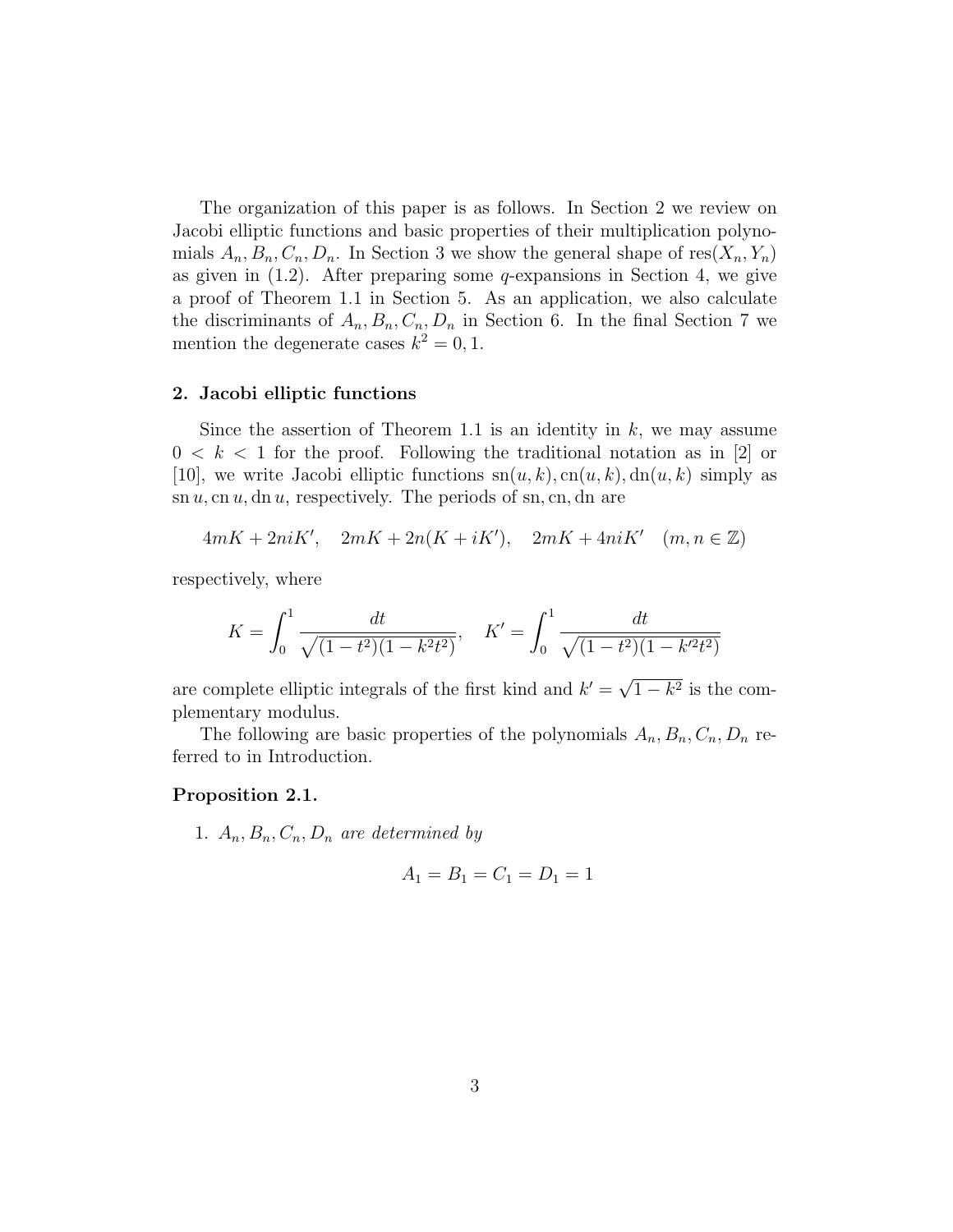The organization of this paper is as follows. In Section 2 we review on Jacobi elliptic functions and basic properties of their multiplication polynomials  $A_n, B_n, C_n, D_n$ . In Section 3 we show the general shape of res $(X_n, Y_n)$ as given in  $(1.2)$ . After preparing some *q*-expansions in Section 4, we give a proof of Theorem 1.1 in Section 5. As an application, we also calculate the discriminants of  $A_n, B_n, C_n, D_n$  in Section 6. In the final Section 7 we mention the degenerate cases  $k^2 = 0, 1$ .

#### 2. Jacobi elliptic functions

Since the assertion of Theorem 1.1 is an identity in  $k$ , we may assume  $0 < k < 1$  for the proof. Following the traditional notation as in [2] or [10], we write Jacobi elliptic functions  $sn(u, k)$ ,  $cn(u, k)$ ,  $dn(u, k)$  simply as  $\sin u$ , cn u, dn u, respectively. The periods of sn, cn, dn are

$$
4mK + 2niK', \quad 2mK + 2n(K + iK'), \quad 2mK + 4niK' \quad (m, n \in \mathbb{Z})
$$

respectively, where

$$
K = \int_0^1 \frac{dt}{\sqrt{(1 - t^2)(1 - k^2 t^2)}}, \quad K' = \int_0^1 \frac{dt}{\sqrt{(1 - t^2)(1 - k'^2 t^2)}}
$$

are complete elliptic integrals of the first kind and  $k' =$ √  $1 - k^2$  is the complementary modulus.

The following are basic properties of the polynomials  $A_n, B_n, C_n, D_n$  referred to in Introduction.

#### Proposition 2.1.

1.  $A_n, B_n, C_n, D_n$  are determined by

$$
A_1 = B_1 = C_1 = D_1 = 1
$$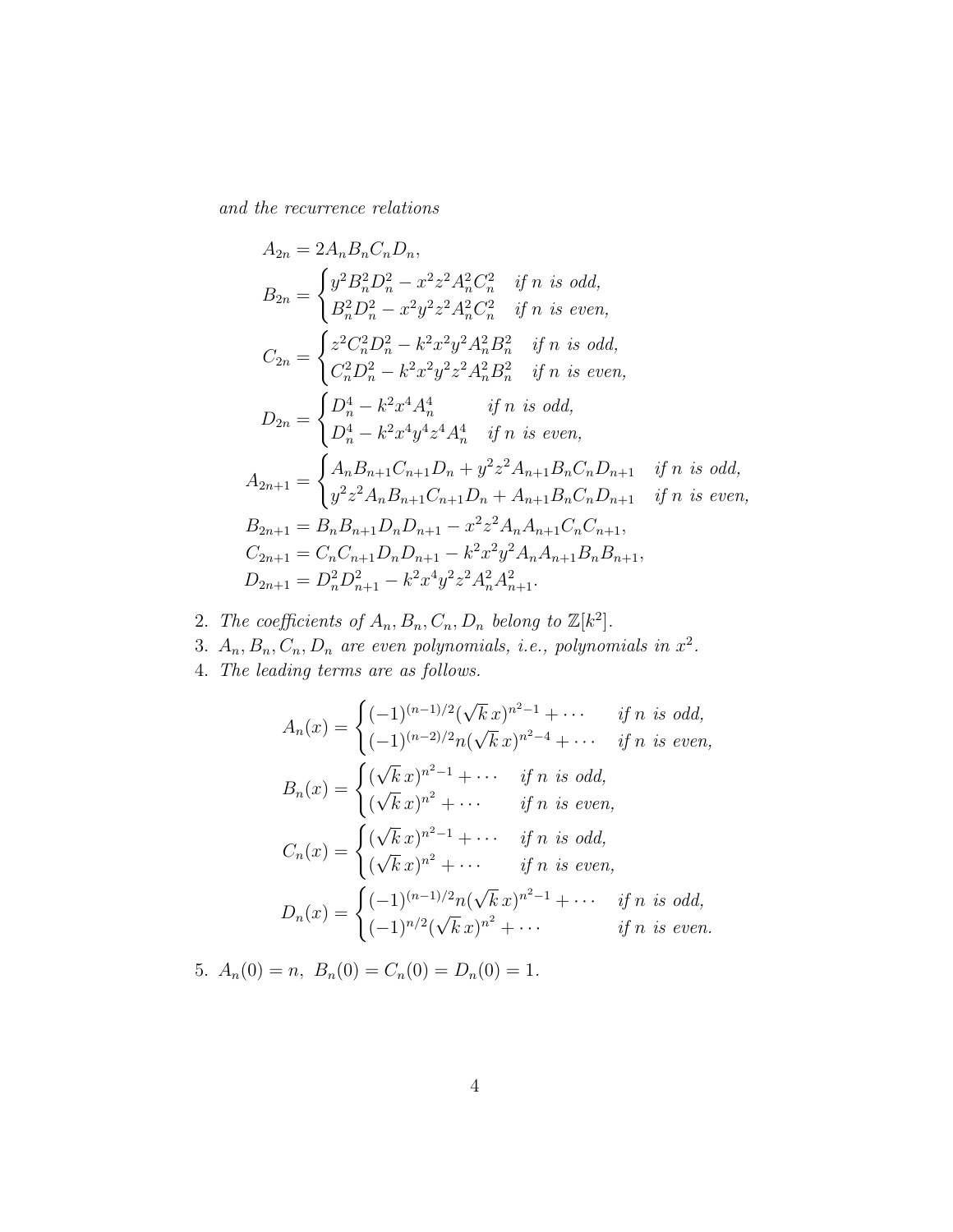and the recurrence relations

$$
A_{2n} = 2A_nB_nC_nD_n,
$$
  
\n
$$
B_{2n} = \begin{cases} y^2B_n^2D_n^2 - x^2z^2A_n^2C_n^2 & \text{if } n \text{ is odd,} \\ B_n^2D_n^2 - x^2y^2z^2A_n^2C_n^2 & \text{if } n \text{ is even,} \end{cases}
$$
  
\n
$$
C_{2n} = \begin{cases} z^2C_n^2D_n^2 - k^2x^2y^2A_n^2B_n^2 & \text{if } n \text{ is odd,} \\ C_n^2D_n^2 - k^2x^2y^2z^2A_n^2B_n^2 & \text{if } n \text{ is even,} \end{cases}
$$
  
\n
$$
D_{2n} = \begin{cases} D_n^4 - k^2x^4A_n^4 & \text{if } n \text{ is odd,} \\ D_n^4 - k^2x^4y^4z^4A_n^4 & \text{if } n \text{ is even,} \end{cases}
$$
  
\n
$$
A_{2n+1} = \begin{cases} A_nB_{n+1}C_{n+1}D_n + y^2z^2A_{n+1}B_nC_nD_{n+1} & \text{if } n \text{ is odd,} \\ y^2z^2A_nB_{n+1}C_{n+1}D_n + A_{n+1}B_nC_nD_{n+1} & \text{if } n \text{ is even,} \end{cases}
$$
  
\n
$$
B_{2n+1} = B_nB_{n+1}D_nD_{n+1} - x^2z^2A_nA_{n+1}C_nC_{n+1},
$$
  
\n
$$
C_{2n+1} = C_nC_{n+1}D_nD_{n+1} - k^2x^2y^2A_nA_{n+1}B_nB_{n+1},
$$
  
\n
$$
D_{2n+1} = D_n^2D_{n+1}^2 - k^2x^4y^2z^2A_n^2A_{n+1}^2.
$$

- 2. The coefficients of  $A_n, B_n, C_n, D_n$  belong to  $\mathbb{Z}[k^2]$ .
- 3.  $A_n, B_n, C_n, D_n$  are even polynomials, i.e., polynomials in  $x^2$ .
- 4. The leading terms are as follows.

$$
A_n(x) = \begin{cases} (-1)^{(n-1)/2}(\sqrt{k}x)^{n^2-1} + \cdots & \text{if } n \text{ is odd,} \\ (-1)^{(n-2)/2}n(\sqrt{k}x)^{n^2-4} + \cdots & \text{if } n \text{ is even,} \end{cases}
$$
  
\n
$$
B_n(x) = \begin{cases} (\sqrt{k}x)^{n^2-1} + \cdots & \text{if } n \text{ is odd,} \\ (\sqrt{k}x)^{n^2} + \cdots & \text{if } n \text{ is even,} \end{cases}
$$
  
\n
$$
C_n(x) = \begin{cases} (\sqrt{k}x)^{n^2-1} + \cdots & \text{if } n \text{ is odd,} \\ (\sqrt{k}x)^{n^2} + \cdots & \text{if } n \text{ is even,} \end{cases}
$$
  
\n
$$
D_n(x) = \begin{cases} (-1)^{(n-1)/2}n(\sqrt{k}x)^{n^2-1} + \cdots & \text{if } n \text{ is odd,} \\ (-1)^{n/2}(\sqrt{k}x)^{n^2} + \cdots & \text{if } n \text{ is even.} \end{cases}
$$

5.  $A_n(0) = n$ ,  $B_n(0) = C_n(0) = D_n(0) = 1$ .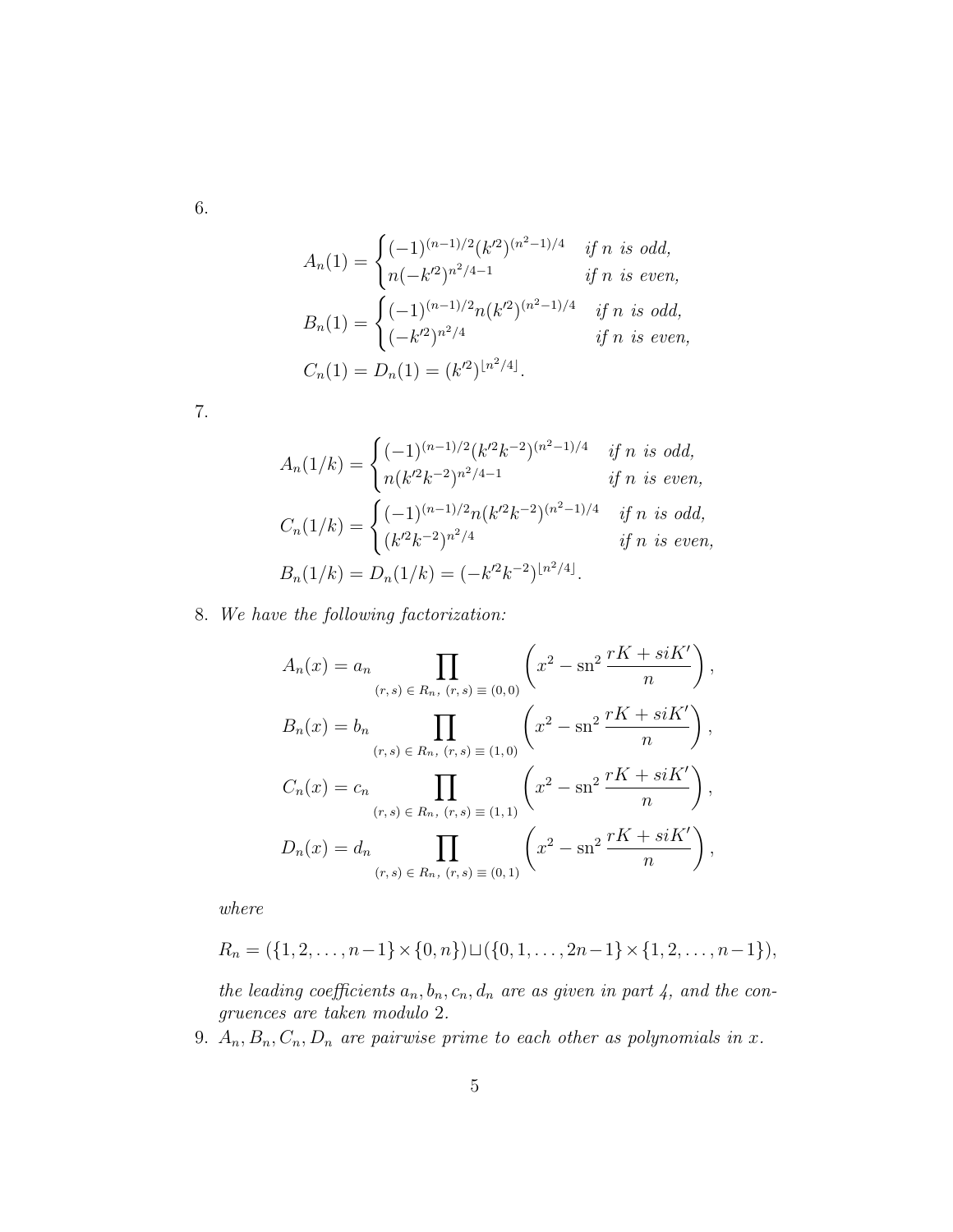6.

$$
A_n(1) = \begin{cases} (-1)^{(n-1)/2} (k^2)^{(n^2-1)/4} & \text{if } n \text{ is odd,} \\ n(-k^2)^{n^2/4-1} & \text{if } n \text{ is even,} \end{cases}
$$
  

$$
B_n(1) = \begin{cases} (-1)^{(n-1)/2} n(k^2)^{(n^2-1)/4} & \text{if } n \text{ is odd,} \\ (-k^2)^{n^2/4} & \text{if } n \text{ is even,} \end{cases}
$$
  

$$
C_n(1) = D_n(1) = (k^2)^{\lfloor n^2/4 \rfloor}.
$$

7.

$$
A_n(1/k) = \begin{cases} (-1)^{(n-1)/2} (k'^2 k^{-2})^{(n^2-1)/4} & \text{if } n \text{ is odd,} \\ n(k'^2 k^{-2})^{n^2/4-1} & \text{if } n \text{ is even,} \end{cases}
$$
  

$$
C_n(1/k) = \begin{cases} (-1)^{(n-1)/2} n(k'^2 k^{-2})^{(n^2-1)/4} & \text{if } n \text{ is odd,} \\ (k'^2 k^{-2})^{n^2/4} & \text{if } n \text{ is even,} \end{cases}
$$
  

$$
B_n(1/k) = D_n(1/k) = (-k'^2 k^{-2})^{\lfloor n^2/4 \rfloor}.
$$

8. We have the following factorization:

$$
A_n(x) = a_n \prod_{(r,s) \in R_n, (r,s) \equiv (0,0)} \left( x^2 - \operatorname{sn}^2 \frac{rK + siK'}{n} \right),
$$
  
\n
$$
B_n(x) = b_n \prod_{(r,s) \in R_n, (r,s) \equiv (1,0)} \left( x^2 - \operatorname{sn}^2 \frac{rK + siK'}{n} \right),
$$
  
\n
$$
C_n(x) = c_n \prod_{(r,s) \in R_n, (r,s) \equiv (1,1)} \left( x^2 - \operatorname{sn}^2 \frac{rK + siK'}{n} \right),
$$
  
\n
$$
D_n(x) = d_n \prod_{(r,s) \in R_n, (r,s) \equiv (0,1)} \left( x^2 - \operatorname{sn}^2 \frac{rK + siK'}{n} \right),
$$

where

$$
R_n = (\{1, 2, \ldots, n-1\} \times \{0, n\}) \sqcup (\{0, 1, \ldots, 2n-1\} \times \{1, 2, \ldots, n-1\}),
$$

the leading coefficients  $a_n, b_n, c_n, d_n$  are as given in part 4, and the congruences are taken modulo 2.

9.  $A_n, B_n, C_n, D_n$  are pairwise prime to each other as polynomials in x.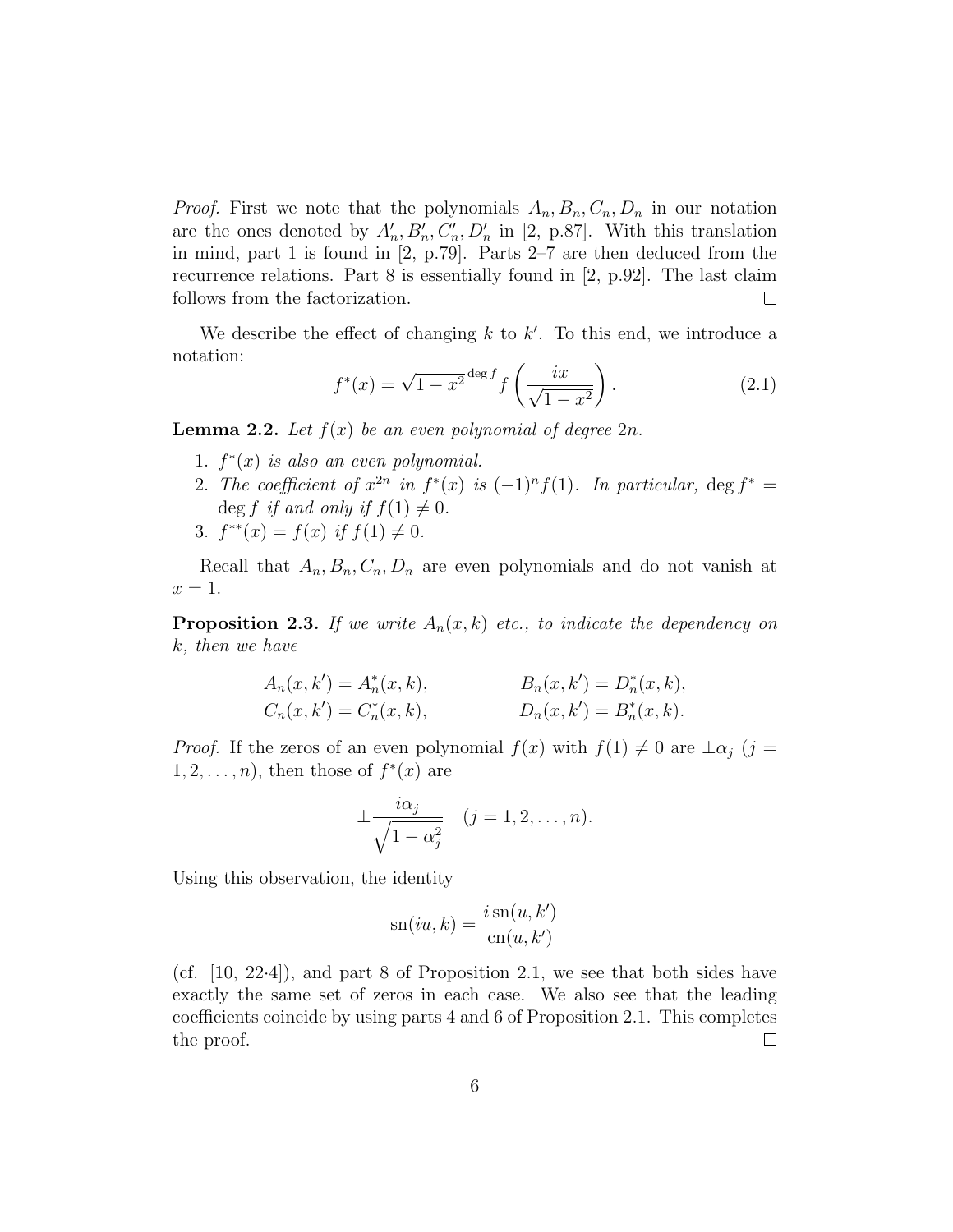*Proof.* First we note that the polynomials  $A_n, B_n, C_n, D_n$  in our notation are the ones denoted by  $A'_n, B'_n, C'_n, D'_n$  in [2, p.87]. With this translation in mind, part 1 is found in [2, p.79]. Parts 2–7 are then deduced from the recurrence relations. Part 8 is essentially found in [2, p.92]. The last claim follows from the factorization.  $\Box$ 

We describe the effect of changing  $k$  to  $k'$ . To this end, we introduce a notation:

$$
f^*(x) = \sqrt{1 - x^2} \deg^f f\left(\frac{ix}{\sqrt{1 - x^2}}\right).
$$
 (2.1)

**Lemma 2.2.** Let  $f(x)$  be an even polynomial of degree  $2n$ .

- 1.  $f^*(x)$  is also an even polynomial.
- 2. The coefficient of  $x^{2n}$  in  $f^*(x)$  is  $(-1)^n f(1)$ . In particular,  $\deg f^* =$ deg f if and only if  $f(1) \neq 0$ .
- 3.  $f^{**}(x) = f(x)$  if  $f(1) \neq 0$ .

Recall that  $A_n, B_n, C_n, D_n$  are even polynomials and do not vanish at  $x=1$ .

**Proposition 2.3.** If we write  $A_n(x, k)$  etc., to indicate the dependency on k, then we have

$$
A_n(x, k') = A_n^*(x, k), \qquad B_n(x, k') = D_n^*(x, k),
$$
  
\n
$$
C_n(x, k') = C_n^*(x, k), \qquad D_n(x, k') = B_n^*(x, k).
$$

*Proof.* If the zeros of an even polynomial  $f(x)$  with  $f(1) \neq 0$  are  $\pm \alpha_j$  (j =  $1, 2, \ldots, n$ , then those of  $f^*(x)$  are

$$
\pm \frac{i\alpha_j}{\sqrt{1-\alpha_j^2}} \quad (j=1,2,\ldots,n).
$$

Using this observation, the identity

$$
sn(iu, k) = \frac{i \operatorname{sn}(u, k')}{\operatorname{cn}(u, k')}
$$

(cf. [10, 22·4]), and part 8 of Proposition 2.1, we see that both sides have exactly the same set of zeros in each case. We also see that the leading coefficients coincide by using parts 4 and 6 of Proposition 2.1. This completes the proof.  $\Box$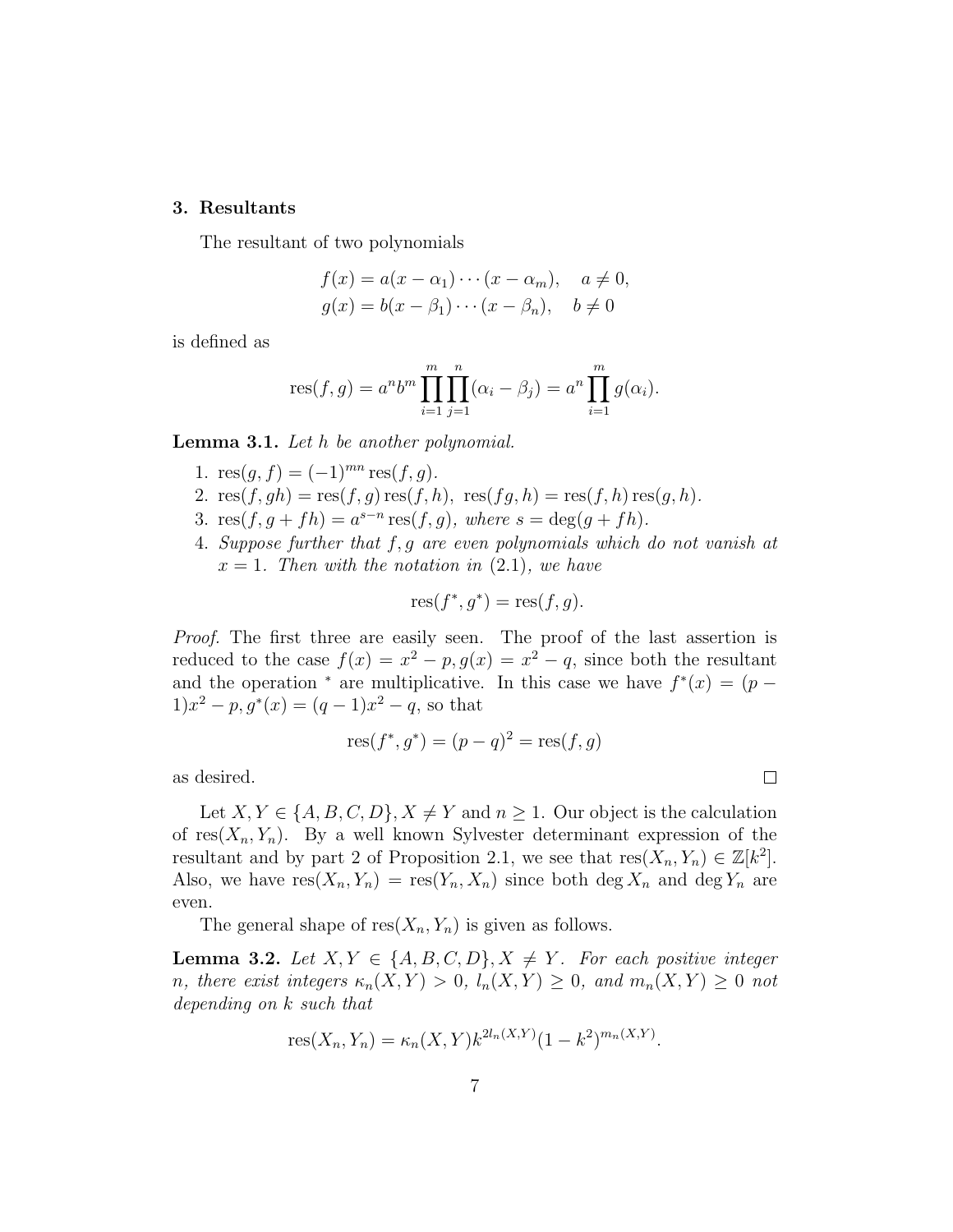#### 3. Resultants

The resultant of two polynomials

$$
f(x) = a(x - \alpha_1) \cdots (x - \alpha_m), \quad a \neq 0,
$$
  

$$
g(x) = b(x - \beta_1) \cdots (x - \beta_n), \quad b \neq 0
$$

is defined as

res
$$
(f, g) = a^n b^m \prod_{i=1}^m \prod_{j=1}^n (\alpha_i - \beta_j) = a^n \prod_{i=1}^m g(\alpha_i).
$$

Lemma 3.1. Let h be another polynomial.

- 1.  $res(q, f) = (-1)^{mn} res(f, g)$ .
- 2.  $res(f, gh) = res(f, g) res(f, h), res(f, h) = res(f, h) res(g, h).$
- 3.  $res(f, g + fh) = a^{s-n} res(f, g)$ , where  $s = deg(g + fh)$ .
- 4. Suppose further that f, g are even polynomials which do not vanish at  $x = 1$ . Then with the notation in  $(2.1)$ , we have

$$
res(f^*, g^*) = res(f, g).
$$

Proof. The first three are easily seen. The proof of the last assertion is reduced to the case  $f(x) = x^2 - p$ ,  $g(x) = x^2 - q$ , since both the resultant and the operation  $*$  are multiplicative. In this case we have  $f^*(x) = (p 1)x^{2} - p$ ,  $g^{*}(x) = (q - 1)x^{2} - q$ , so that

$$
res(f^*, g^*) = (p - q)^2 = res(f, g)
$$

as desired.

Let  $X, Y \in \{A, B, C, D\}, X \neq Y$  and  $n \geq 1$ . Our object is the calculation of  $res(X_n, Y_n)$ . By a well known Sylvester determinant expression of the resultant and by part 2 of Proposition 2.1, we see that  $res(X_n, Y_n) \in \mathbb{Z}[k^2]$ . Also, we have  $res(X_n, Y_n) = res(Y_n, X_n)$  since both deg  $X_n$  and deg  $Y_n$  are even.

The general shape of  $res(X_n, Y_n)$  is given as follows.

**Lemma 3.2.** Let  $X, Y \in \{A, B, C, D\}, X \neq Y$ . For each positive integer n, there exist integers  $\kappa_n(X,Y) > 0$ ,  $l_n(X,Y) \geq 0$ , and  $m_n(X,Y) \geq 0$  not depending on k such that

$$
res(X_n, Y_n) = \kappa_n(X, Y) k^{2l_n(X, Y)} (1 - k^2)^{m_n(X, Y)}.
$$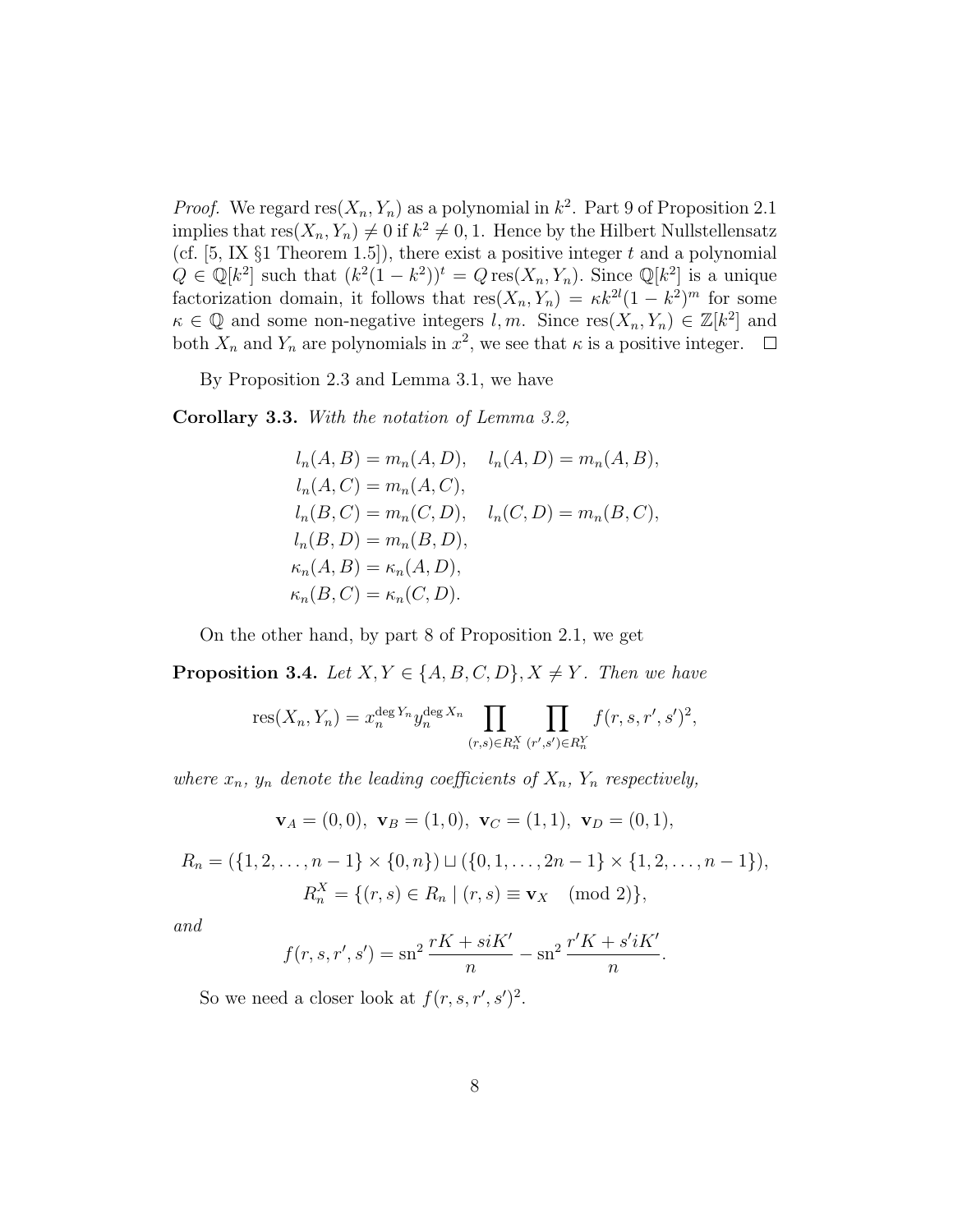*Proof.* We regard  $res(X_n, Y_n)$  as a polynomial in  $k^2$ . Part 9 of Proposition 2.1 implies that  $res(X_n, Y_n) \neq 0$  if  $k^2 \neq 0, 1$ . Hence by the Hilbert Nullstellensatz (cf.  $[5, 1X \S1$  Theorem 1.5]), there exist a positive integer t and a polynomial  $Q \in \mathbb{Q}[k^2]$  such that  $(k^2(1-k^2))^t = Q \text{res}(X_n, Y_n)$ . Since  $\mathbb{Q}[k^2]$  is a unique factorization domain, it follows that  $res(X_n, Y_n) = \kappa k^{2l} (1 - k^2)^m$  for some  $\kappa \in \mathbb{Q}$  and some non-negative integers l, m. Since  $res(X_n, Y_n) \in \mathbb{Z}[k^2]$  and both  $X_n$  and  $Y_n$  are polynomials in  $x^2$ , we see that  $\kappa$  is a positive integer.

By Proposition 2.3 and Lemma 3.1, we have

Corollary 3.3. With the notation of Lemma 3.2,

$$
l_n(A, B) = m_n(A, D), \quad l_n(A, D) = m_n(A, B),
$$
  
\n
$$
l_n(A, C) = m_n(A, C),
$$
  
\n
$$
l_n(B, C) = m_n(C, D), \quad l_n(C, D) = m_n(B, C),
$$
  
\n
$$
l_n(B, D) = m_n(B, D),
$$
  
\n
$$
\kappa_n(A, B) = \kappa_n(A, D),
$$
  
\n
$$
\kappa_n(B, C) = \kappa_n(C, D).
$$

On the other hand, by part 8 of Proposition 2.1, we get

**Proposition 3.4.** Let  $X, Y \in \{A, B, C, D\}, X \neq Y$ . Then we have

res
$$
(X_n, Y_n) = x_n^{\deg Y_n} y_n^{\deg X_n} \prod_{(r,s)\in R_n^X} \prod_{(r',s')\in R_n^Y} f(r,s,r',s')^2
$$
,

where  $x_n$ ,  $y_n$  denote the leading coefficients of  $X_n$ ,  $Y_n$  respectively,

$$
\mathbf{v}_A = (0,0), \mathbf{v}_B = (1,0), \mathbf{v}_C = (1,1), \mathbf{v}_D = (0,1),
$$

 $R_n = (\{1, 2, \ldots, n-1\} \times \{0, n\}) \sqcup (\{0, 1, \ldots, 2n-1\} \times \{1, 2, \ldots, n-1\}),$  $R_n^X = \{ (r, s) \in R_n \mid (r, s) \equiv \mathbf{v}_X \pmod{2} \},\$ 

and

$$
f(r, s, r', s') = \operatorname{sn}^2 \frac{rK + siK'}{n} - \operatorname{sn}^2 \frac{r'K + s'iK'}{n}.
$$

So we need a closer look at  $f(r, s, r', s')^2$ .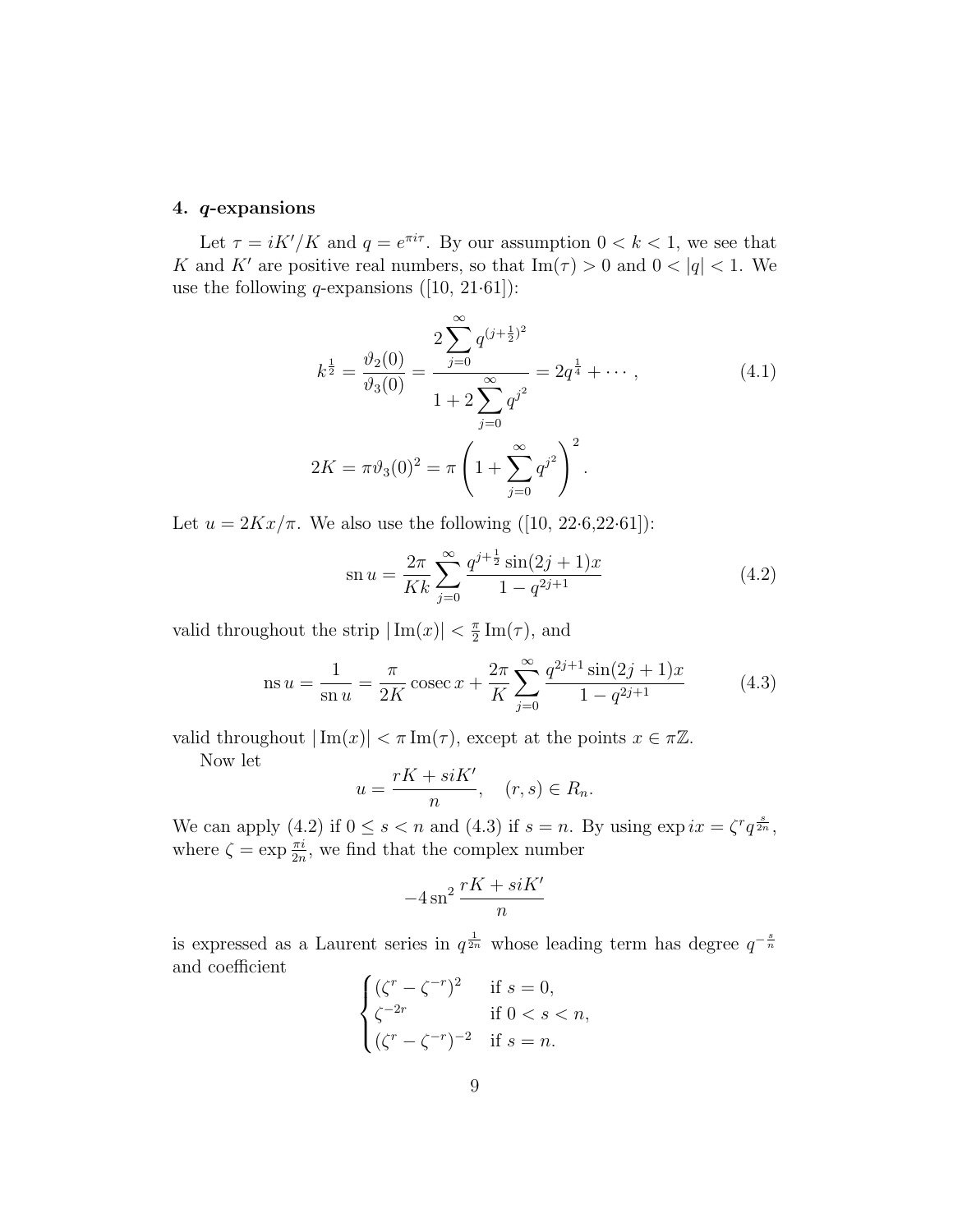# 4. q-expansions

Let  $\tau = iK'/K$  and  $q = e^{\pi i \tau}$ . By our assumption  $0 < k < 1$ , we see that K and K' are positive real numbers, so that  $\text{Im}(\tau) > 0$  and  $0 < |q| < 1$ . We use the following *q*-expansions  $([10, 21.61])$ :

$$
k^{\frac{1}{2}} = \frac{\vartheta_2(0)}{\vartheta_3(0)} = \frac{2\sum_{j=0}^{\infty} q^{(j+\frac{1}{2})^2}}{1+2\sum_{j=0}^{\infty} q^{j^2}} = 2q^{\frac{1}{4}} + \cdots, \qquad (4.1)
$$
  

$$
2K = \pi \vartheta_3(0)^2 = \pi \left(1 + \sum_{j=0}^{\infty} q^{j^2}\right)^2.
$$

Let  $u = 2Kx/\pi$ . We also use the following ([10, 22.6,22.61]):

$$
\operatorname{sn} u = \frac{2\pi}{Kk} \sum_{j=0}^{\infty} \frac{q^{j+\frac{1}{2}} \sin(2j+1)x}{1 - q^{2j+1}} \tag{4.2}
$$

valid throughout the strip  $|\text{Im}(x)| < \frac{\pi}{2}$  $\frac{\pi}{2}$ Im( $\tau$ ), and

ns 
$$
u = \frac{1}{\text{sn } u} = \frac{\pi}{2K} \csc x + \frac{2\pi}{K} \sum_{j=0}^{\infty} \frac{q^{2j+1} \sin(2j+1)x}{1 - q^{2j+1}}
$$
 (4.3)

valid throughout  $|\text{Im}(x)| < \pi \text{Im}(\tau)$ , except at the points  $x \in \pi \mathbb{Z}$ .

Now let

$$
u = \frac{rK + siK'}{n}, \quad (r, s) \in R_n.
$$

We can apply (4.2) if  $0 \le s < n$  and (4.3) if  $s = n$ . By using  $\exp ix = \zeta^r q^{\frac{s}{2n}}$ , where  $\zeta = \exp \frac{\pi i}{2n}$ , we find that the complex number

$$
-4\operatorname{sn}^2\frac{rK + siK'}{n}
$$

is expressed as a Laurent series in  $q^{\frac{1}{2n}}$  whose leading term has degree  $q^{-\frac{s}{n}}$ and coefficient

$$
\begin{cases}\n(\zeta^r - \zeta^{-r})^2 & \text{if } s = 0, \\
\zeta^{-2r} & \text{if } 0 < s < n, \\
(\zeta^r - \zeta^{-r})^{-2} & \text{if } s = n.\n\end{cases}
$$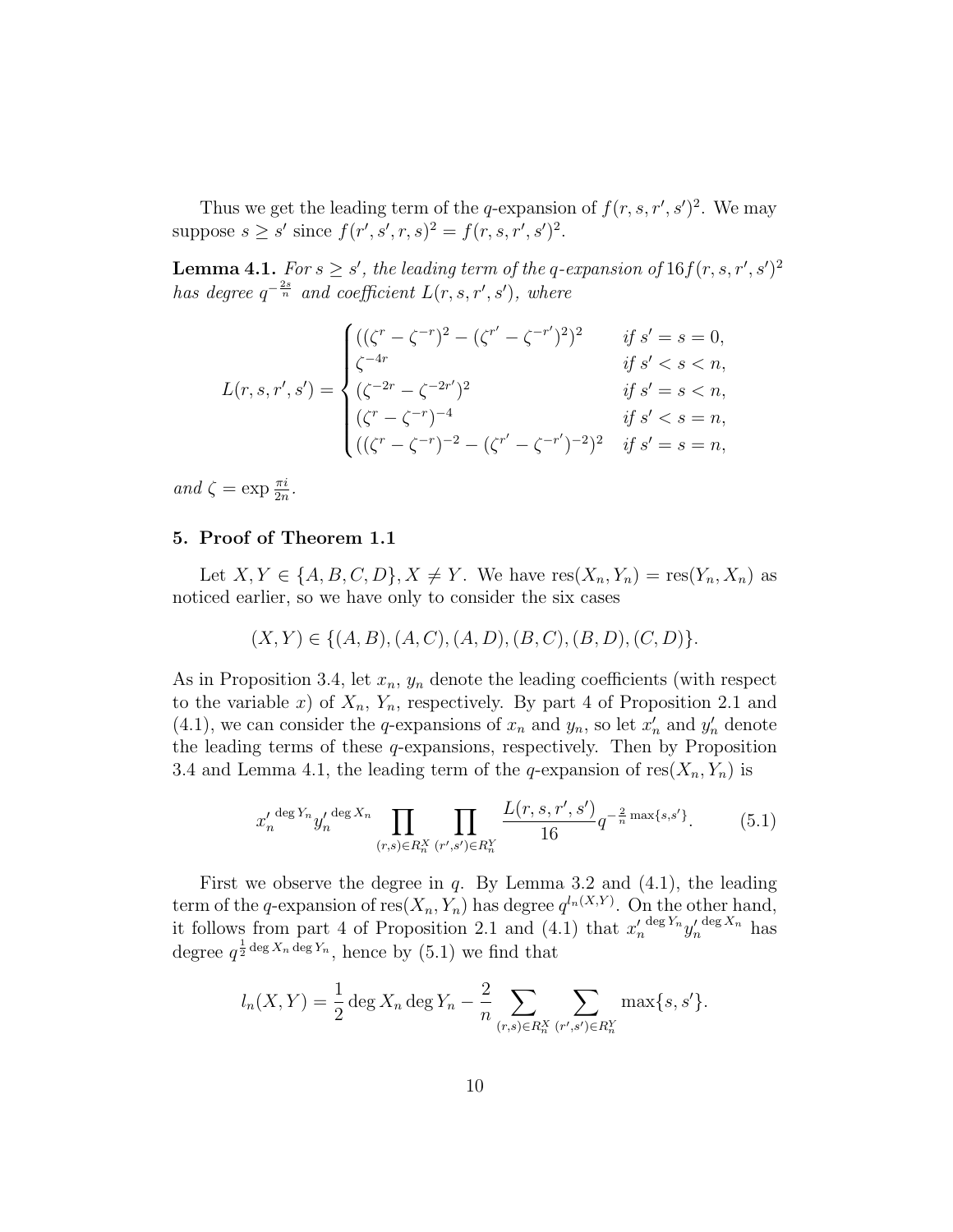Thus we get the leading term of the q-expansion of  $f(r, s, r', s')^2$ . We may suppose  $s \geq s'$  since  $f(r', s', r, s)^2 = f(r, s, r', s')^2$ .

**Lemma 4.1.** For  $s \geq s'$ , the leading term of the q-expansion of  $16f(r, s, r', s')^2$ has degree  $q^{-\frac{2s}{n}}$  and coefficient  $L(r, s, r', s')$ , where

$$
L(r, s, r', s') = \begin{cases} ((\zeta^r - \zeta^{-r})^2 - (\zeta^{r'} - \zeta^{-r'})^2)^2 & \text{if } s' = s = 0, \\ \zeta^{-4r} & \text{if } s' < s < n, \\ (\zeta^{-2r} - \zeta^{-2r'})^2 & \text{if } s' = s < n, \\ (\zeta^r - \zeta^{-r})^{-4} & \text{if } s' < s = n, \\ ((\zeta^r - \zeta^{-r})^{-2} - (\zeta^{r'} - \zeta^{-r'})^{-2})^2 & \text{if } s' = s = n, \end{cases}
$$

and  $\zeta = \exp \frac{\pi i}{2n}$ .

# 5. Proof of Theorem 1.1

Let  $X, Y \in \{A, B, C, D\}, X \neq Y$ . We have  $res(X_n, Y_n) = res(Y_n, X_n)$  as noticed earlier, so we have only to consider the six cases

$$
(X, Y) \in \{(A, B), (A, C), (A, D), (B, C), (B, D), (C, D)\}.
$$

As in Proposition 3.4, let  $x_n$ ,  $y_n$  denote the leading coefficients (with respect to the variable x) of  $X_n$ ,  $Y_n$ , respectively. By part 4 of Proposition 2.1 and (4.1), we can consider the q-expansions of  $x_n$  and  $y_n$ , so let  $x'_n$  and  $y'_n$  denote the leading terms of these  $q$ -expansions, respectively. Then by Proposition 3.4 and Lemma 4.1, the leading term of the q-expansion of  $res(X_n, Y_n)$  is

$$
x_n'^{\deg Y_n} y_n'^{\deg X_n} \prod_{(r,s)\in R_n^X} \prod_{(r',s')\in R_n^Y} \frac{L(r,s,r',s')}{16} q^{-\frac{2}{n}\max\{s,s'\}}.\tag{5.1}
$$

First we observe the degree in  $q$ . By Lemma 3.2 and  $(4.1)$ , the leading term of the q-expansion of  $res(X_n, Y_n)$  has degree  $q^{l_n(X,Y)}$ . On the other hand, it follows from part 4 of Proposition 2.1 and  $(4.1)$  that  $x'_n$  $\frac{\deg Y_n}{y'_n}$  deg  $X_n$  has degree  $q^{\frac{1}{2} \text{deg } X_n \text{ deg } Y_n}$ , hence by (5.1) we find that

$$
l_n(X,Y) = \frac{1}{2} \deg X_n \deg Y_n - \frac{2}{n} \sum_{(r,s) \in R_n^X} \sum_{(r',s') \in R_n^Y} \max\{s,s'\}.
$$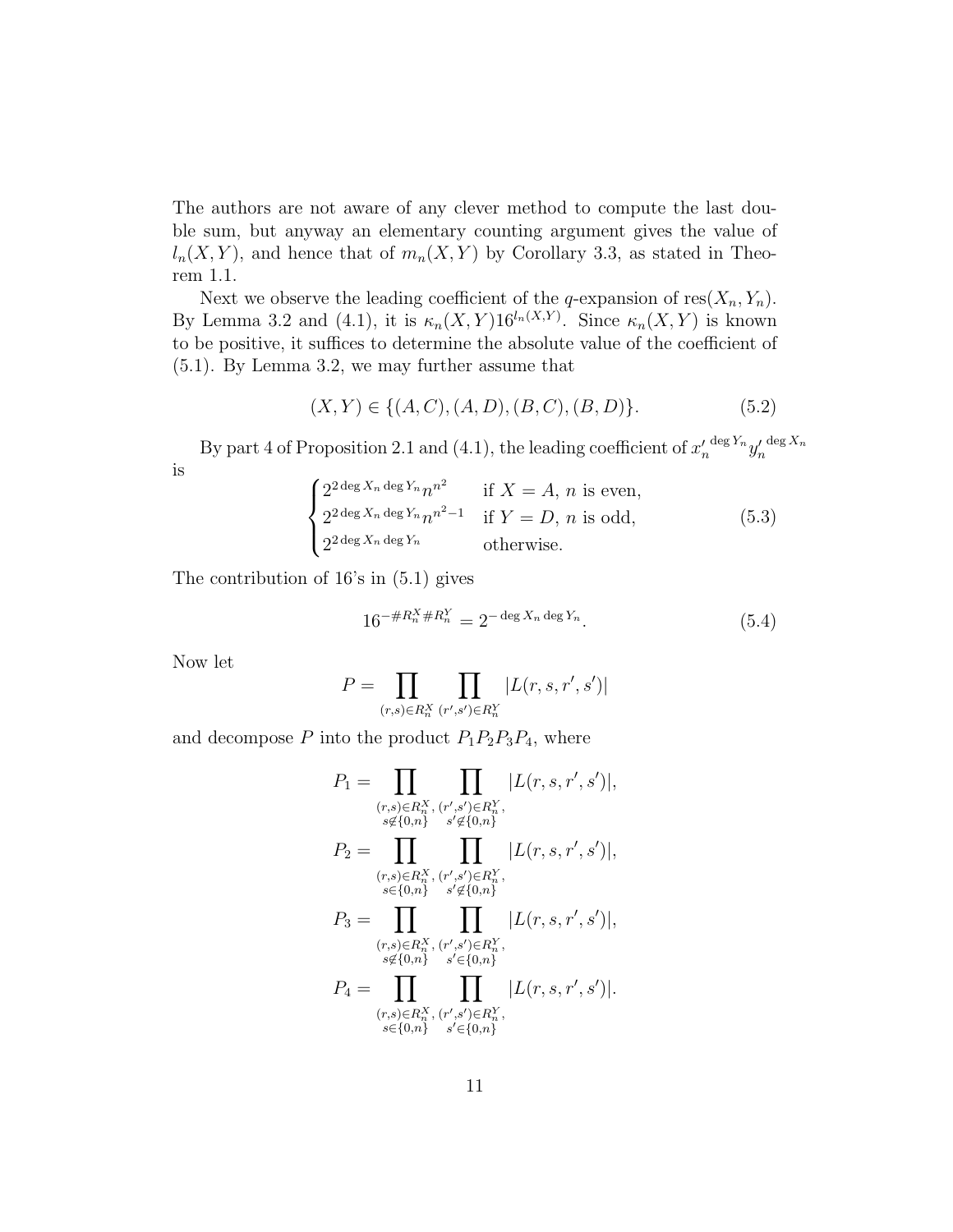The authors are not aware of any clever method to compute the last double sum, but anyway an elementary counting argument gives the value of  $l_n(X, Y)$ , and hence that of  $m_n(X, Y)$  by Corollary 3.3, as stated in Theorem 1.1.

Next we observe the leading coefficient of the q-expansion of  $res(X_n, Y_n)$ . By Lemma 3.2 and (4.1), it is  $\kappa_n(X, Y) 16^{l_n(X,Y)}$ . Since  $\kappa_n(X, Y)$  is known to be positive, it suffices to determine the absolute value of the coefficient of (5.1). By Lemma 3.2, we may further assume that

$$
(X,Y) \in \{(A,C), (A,D), (B,C), (B,D)\}.
$$
 (5.2)

By part 4 of Proposition 2.1 and (4.1), the leading coefficient of  $x'_n$  $\frac{\deg Y_n}{y'_n}$  $\deg X_n$ is

$$
\begin{cases}\n2^{2 \deg X_n \deg Y_n} n^{n^2} & \text{if } X = A, n \text{ is even,} \\
2^{2 \deg X_n \deg Y_n} n^{n^2 - 1} & \text{if } Y = D, n \text{ is odd,} \\
2^{2 \deg X_n \deg Y_n} & \text{otherwise.} \n\end{cases}
$$
\n(5.3)

The contribution of 16's in (5.1) gives

$$
16^{-\#R_n^X \#R_n^Y} = 2^{-\deg X_n \deg Y_n}.
$$
\n(5.4)

Now let

$$
P = \prod_{(r,s) \in R_n^X} \prod_{(r',s') \in R_n^Y} |L(r,s,r',s')|
$$

and decompose  $P$  into the product  $P_1P_2P_3P_4$ , where

$$
P_1 = \prod_{\substack{(r,s)\in R_n^X, (r',s')\in R_n^Y,\\s\notin\{0,n\}}} \prod_{s'\notin\{0,n\}} |L(r,s,r',s')|,
$$
  
\n
$$
P_2 = \prod_{\substack{(r,s)\in R_n^X, (r',s')\in R_n^Y,\\s\in\{0,n\}}} \prod_{s'\notin\{0,n\}} |L(r,s,r',s')|,
$$
  
\n
$$
P_3 = \prod_{\substack{(r,s)\in R_n^X, (r',s')\in R_n^Y,\\s\notin\{0,n\}}} \prod_{s'\in\{0,n\}} |L(r,s,r',s')|,
$$
  
\n
$$
P_4 = \prod_{\substack{(r,s)\in R_n^X, (r',s')\in R_n^Y,\\s\in\{0,n\}}} |L(r,s,r',s')|.
$$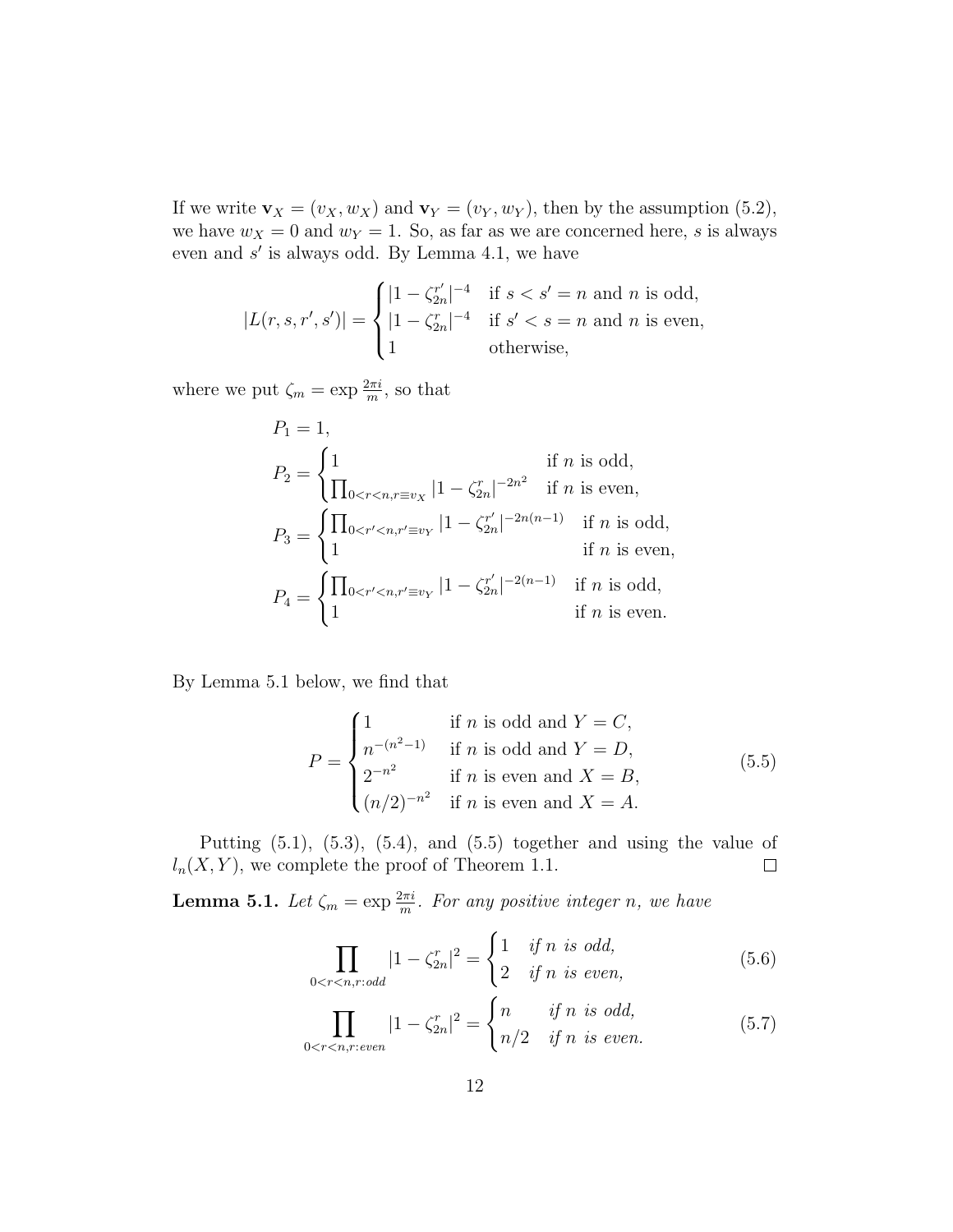If we write  $\mathbf{v}_X = (v_X, w_X)$  and  $\mathbf{v}_Y = (v_Y, w_Y)$ , then by the assumption (5.2), we have  $w_X = 0$  and  $w_Y = 1$ . So, as far as we are concerned here, s is always even and  $s'$  is always odd. By Lemma 4.1, we have

$$
|L(r, s, r', s')| = \begin{cases} |1 - \zeta_{2n}^{r'}|^{-4} & \text{if } s < s' = n \text{ and } n \text{ is odd,} \\ |1 - \zeta_{2n}^{r}|^{-4} & \text{if } s' < s = n \text{ and } n \text{ is even,} \\ 1 & \text{otherwise,} \end{cases}
$$

where we put  $\zeta_m = \exp \frac{2\pi i}{m}$ , so that

$$
P_1 = 1,
$$
  
\n
$$
P_2 = \begin{cases} 1 & \text{if } n \text{ is odd,} \\ \prod_{0 < r < n, r \equiv v_X} |1 - \zeta_{2n}^r|^{-2n^2} & \text{if } n \text{ is even,} \end{cases}
$$
  
\n
$$
P_3 = \begin{cases} \prod_{0 < r' < n, r' \equiv v_Y} |1 - \zeta_{2n}^{r'}|^{-2n(n-1)} & \text{if } n \text{ is odd,} \\ 1 & \text{if } n \text{ is even,} \end{cases}
$$
  
\n
$$
P_4 = \begin{cases} \prod_{0 < r' < n, r' \equiv v_Y} |1 - \zeta_{2n}^{r'}|^{-2(n-1)} & \text{if } n \text{ is odd,} \\ 1 & \text{if } n \text{ is even.} \end{cases}
$$

By Lemma 5.1 below, we find that

$$
P = \begin{cases} 1 & \text{if } n \text{ is odd and } Y = C, \\ n^{-(n^2-1)} & \text{if } n \text{ is odd and } Y = D, \\ 2^{-n^2} & \text{if } n \text{ is even and } X = B, \\ (n/2)^{-n^2} & \text{if } n \text{ is even and } X = A. \end{cases}
$$
(5.5)

Putting  $(5.1)$ ,  $(5.3)$ ,  $(5.4)$ , and  $(5.5)$  together and using the value of  $l_n(X, Y)$ , we complete the proof of Theorem 1.1.  $\Box$ 

**Lemma 5.1.** Let  $\zeta_m = \exp{\frac{2\pi i}{m}}$ . For any positive integer n, we have

$$
\prod_{0 < r < n, r: odd} |1 - \zeta_{2n}^r|^2 = \begin{cases} 1 & \text{if } n \text{ is odd,} \\ 2 & \text{if } n \text{ is even,} \end{cases} \tag{5.6}
$$

$$
\prod_{0 < r < n, r: even} |1 - \zeta_{2n}^r|^2 = \begin{cases} n & \text{if } n \text{ is odd,} \\ n/2 & \text{if } n \text{ is even.} \end{cases} \tag{5.7}
$$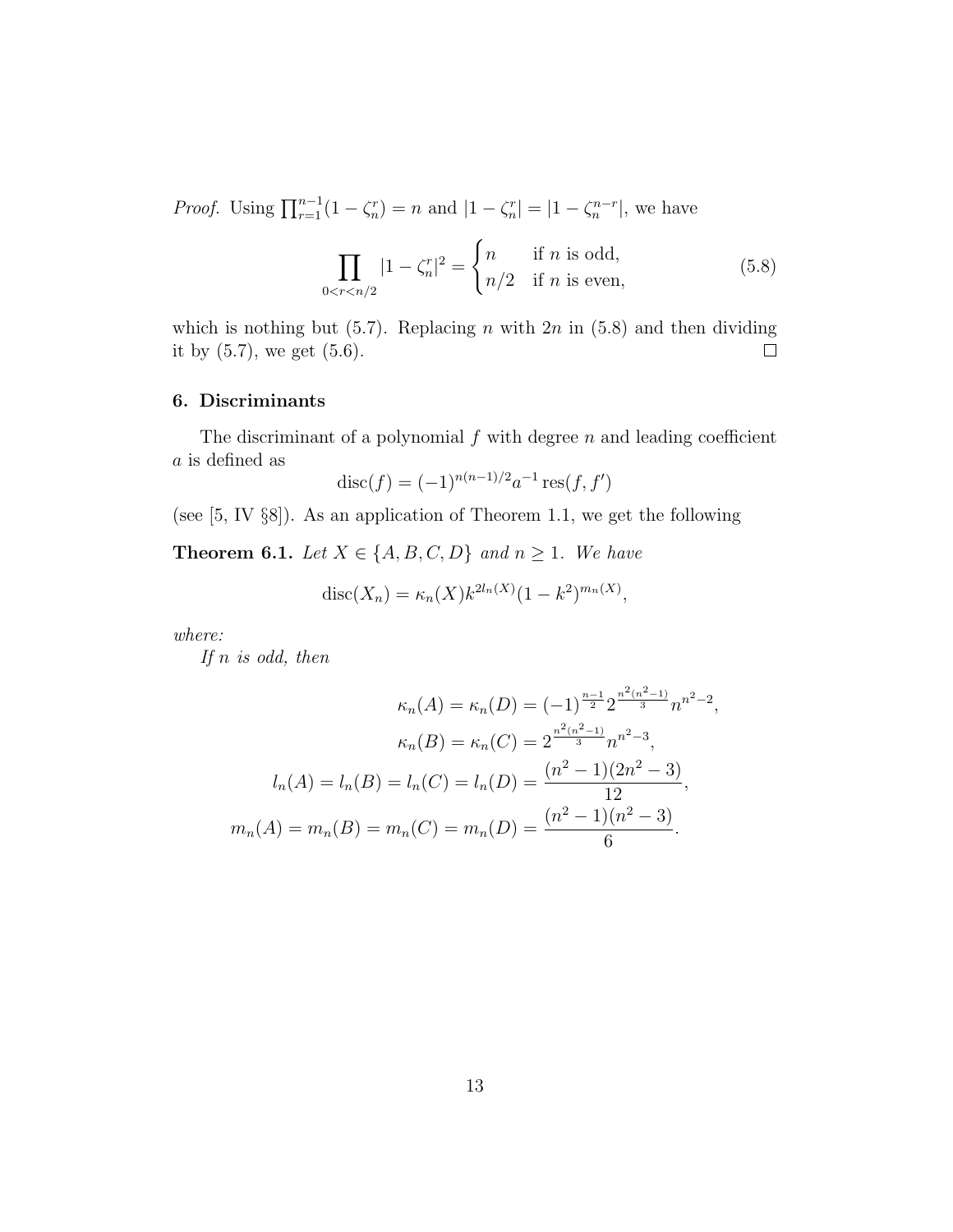*Proof.* Using  $\prod_{r=1}^{n-1} (1 - \zeta_n^r) = n$  and  $|1 - \zeta_n^r| = |1 - \zeta_n^{n-r}|$ , we have

$$
\prod_{0 < r < n/2} |1 - \zeta_n^r|^2 = \begin{cases} n & \text{if } n \text{ is odd,} \\ n/2 & \text{if } n \text{ is even,} \end{cases} \tag{5.8}
$$

which is nothing but  $(5.7)$ . Replacing *n* with  $2n$  in  $(5.8)$  and then dividing it by  $(5.7)$ , we get  $(5.6)$ .  $\Box$ 

## 6. Discriminants

The discriminant of a polynomial  $f$  with degree  $n$  and leading coefficient a is defined as

$$
disc(f) = (-1)^{n(n-1)/2} a^{-1} res(f, f')
$$

(see [5, IV §8]). As an application of Theorem 1.1, we get the following

**Theorem 6.1.** Let  $X \in \{A, B, C, D\}$  and  $n \ge 1$ . We have

$$
disc(X_n) = \kappa_n(X) k^{2l_n(X)} (1 - k^2)^{m_n(X)},
$$

where:

If  $n$  is odd, then

$$
\kappa_n(A) = \kappa_n(D) = (-1)^{\frac{n-1}{2}} 2^{\frac{n^2(n^2-1)}{3}} n^{n^2-2},
$$

$$
\kappa_n(B) = \kappa_n(C) = 2^{\frac{n^2(n^2-1)}{3}} n^{n^2-3},
$$

$$
l_n(A) = l_n(B) = l_n(C) = l_n(D) = \frac{(n^2 - 1)(2n^2 - 3)}{12},
$$

$$
m_n(A) = m_n(B) = m_n(C) = m_n(D) = \frac{(n^2 - 1)(n^2 - 3)}{6}.
$$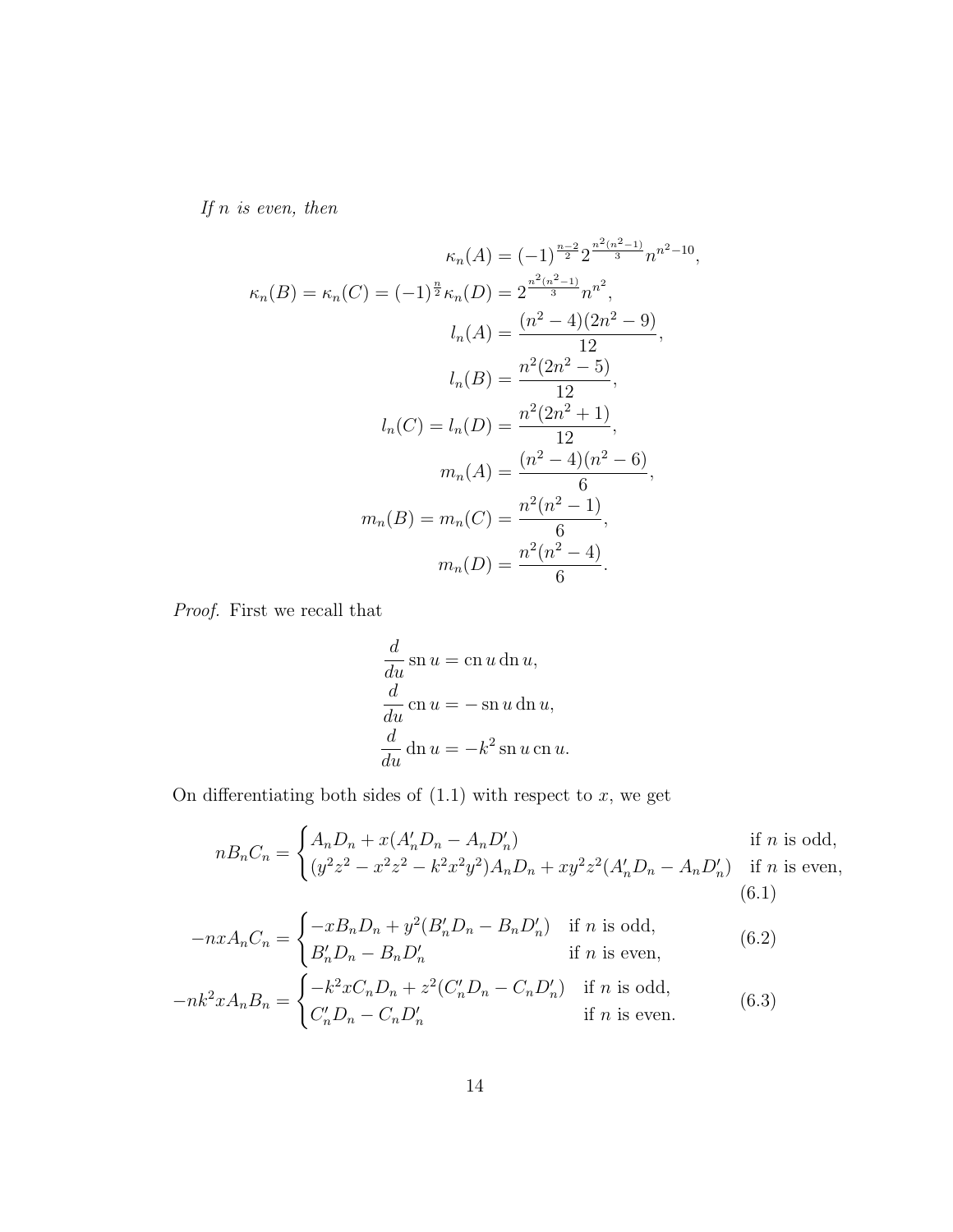If  $n$  is even, then

$$
\kappa_n(A) = (-1)^{\frac{n-2}{2}} 2^{\frac{n^2(n^2-1)}{3}} n^{n^2-10},
$$

$$
\kappa_n(B) = \kappa_n(C) = (-1)^{\frac{n}{2}} \kappa_n(D) = 2^{\frac{n^2(n^2-1)}{3}} n^{n^2},
$$

$$
l_n(A) = \frac{(n^2-4)(2n^2-9)}{12},
$$

$$
l_n(B) = \frac{n^2(2n^2-5)}{12},
$$

$$
l_n(C) = l_n(D) = \frac{n^2(2n^2+1)}{12},
$$

$$
m_n(A) = \frac{(n^2-4)(n^2-6)}{6},
$$

$$
m_n(B) = m_n(C) = \frac{n^2(n^2-1)}{6},
$$

$$
m_n(D) = \frac{n^2(n^2-4)}{6}.
$$

Proof. First we recall that

$$
\frac{d}{du}\operatorname{sn} u = \operatorname{cn} u \operatorname{dn} u,
$$
  

$$
\frac{d}{du}\operatorname{cn} u = -\operatorname{sn} u \operatorname{dn} u,
$$
  

$$
\frac{d}{du}\operatorname{dn} u = -k^2 \operatorname{sn} u \operatorname{cn} u.
$$

On differentiating both sides of  $(1.1)$  with respect to  $x$ , we get

$$
nB_nC_n = \begin{cases} A_nD_n + x(A'_nD_n - A_nD'_n) & \text{if } n \text{ is odd,} \\ (y^2z^2 - x^2z^2 - k^2x^2y^2)A_nD_n + xy^2z^2(A'_nD_n - A_nD'_n) & \text{if } n \text{ is even,} \end{cases}
$$
(6.1)

$$
-nxA_nC_n = \begin{cases} -xB_nD_n + y^2(B'_nD_n - B_nD'_n) & \text{if } n \text{ is odd,} \\ B'_nD_n - B_nD'_n & \text{if } n \text{ is even,} \end{cases}
$$
(6.2)

$$
-nk^2xA_nB_n = \begin{cases} -k^2xC_nD_n + z^2(C'_nD_n - C_nD'_n) & \text{if } n \text{ is odd,} \\ C'_nD_n - C_nD'_n & \text{if } n \text{ is even.} \end{cases}
$$
(6.3)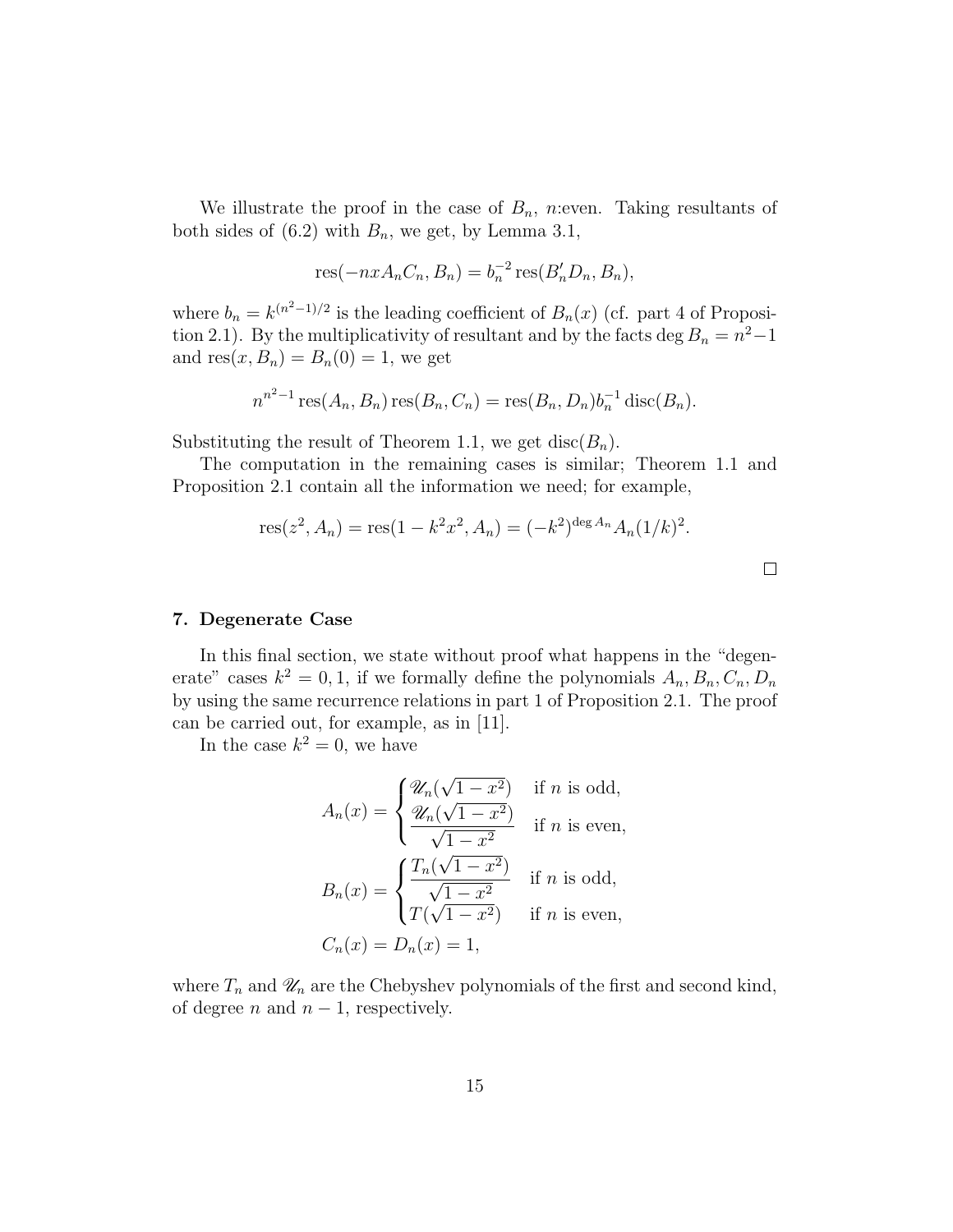We illustrate the proof in the case of  $B_n$ , n:even. Taking resultants of both sides of  $(6.2)$  with  $B_n$ , we get, by Lemma 3.1,

$$
res(-nxAnCn, Bn) = bn-2 res(B'nDn, Bn),
$$

where  $b_n = k^{(n^2-1)/2}$  is the leading coefficient of  $B_n(x)$  (cf. part 4 of Proposition 2.1). By the multiplicativity of resultant and by the facts deg  $B_n = n^2 - 1$ and  $res(x, B_n) = B_n(0) = 1$ , we get

$$
n^{n^2-1}\operatorname{res}(A_n, B_n)\operatorname{res}(B_n, C_n) = \operatorname{res}(B_n, D_n)b_n^{-1}\operatorname{disc}(B_n).
$$

Substituting the result of Theorem 1.1, we get disc( $B_n$ ).

The computation in the remaining cases is similar; Theorem 1.1 and Proposition 2.1 contain all the information we need; for example,

res
$$
(z^2, A_n)
$$
 = res $(1 - k^2 x^2, A_n)$  =  $(-k^2)^{\deg A_n} A_n (1/k)^2$ .

#### 7. Degenerate Case

In this final section, we state without proof what happens in the "degenerate" cases  $k^2 = 0, 1$ , if we formally define the polynomials  $A_n, B_n, C_n, D_n$ by using the same recurrence relations in part 1 of Proposition 2.1. The proof can be carried out, for example, as in [11].

In the case  $k^2 = 0$ , we have

$$
A_n(x) = \begin{cases} \frac{\mathcal{U}_n(\sqrt{1-x^2})}{\mathcal{U}_n(\sqrt{1-x^2})} & \text{if } n \text{ is odd,} \\ \frac{\mathcal{U}_n(\sqrt{1-x^2})}{\sqrt{1-x^2}} & \text{if } n \text{ is even,} \end{cases}
$$

$$
B_n(x) = \begin{cases} \frac{T_n(\sqrt{1-x^2})}{\sqrt{1-x^2}} & \text{if } n \text{ is odd,} \\ T(\sqrt{1-x^2}) & \text{if } n \text{ is even,} \end{cases}
$$

$$
C_n(x) = D_n(x) = 1,
$$

where  $T_n$  and  $\mathscr{U}_n$  are the Chebyshev polynomials of the first and second kind, of degree *n* and  $n - 1$ , respectively.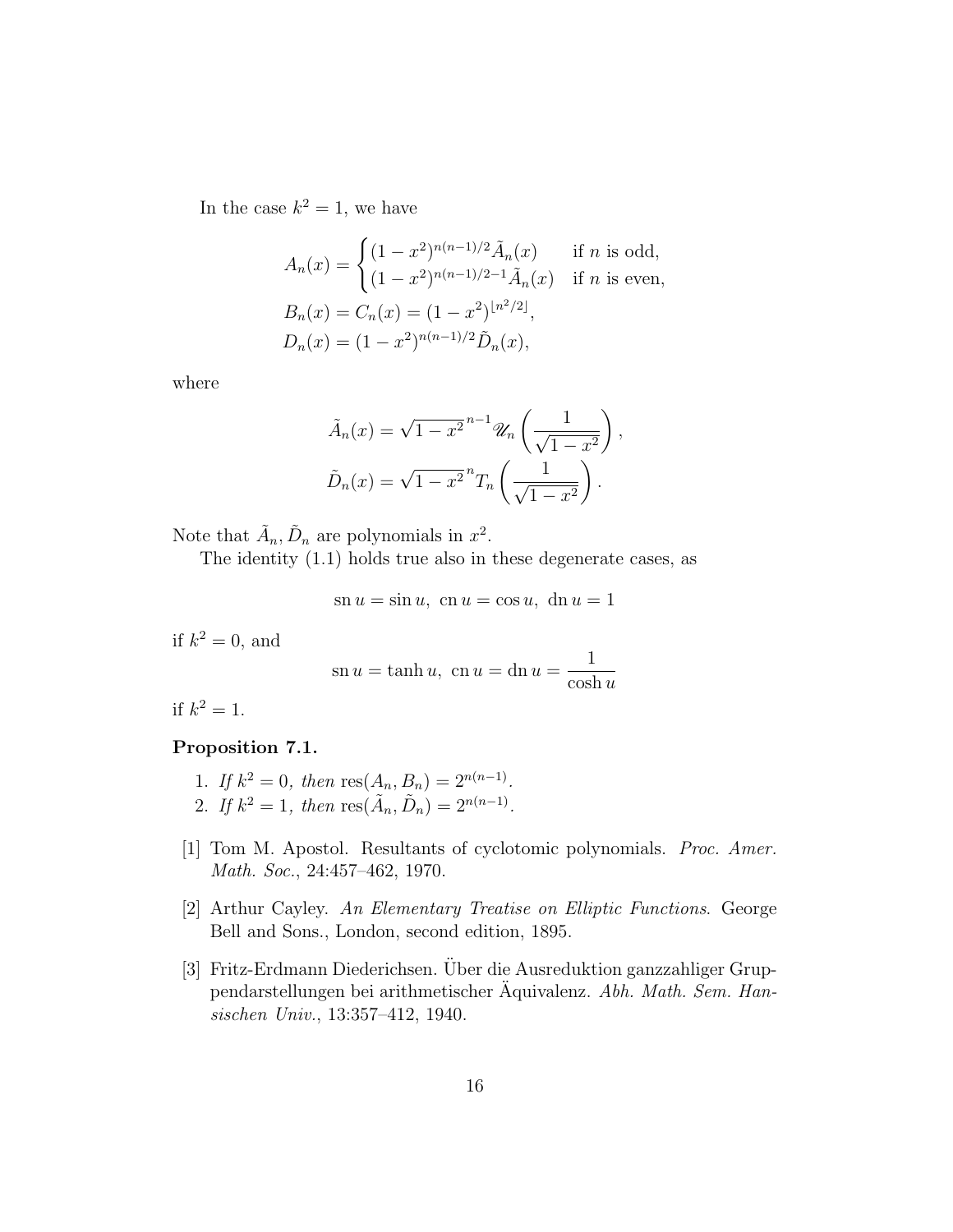In the case  $k^2 = 1$ , we have

$$
A_n(x) = \begin{cases} (1 - x^2)^{n(n-1)/2} \tilde{A}_n(x) & \text{if } n \text{ is odd,} \\ (1 - x^2)^{n(n-1)/2 - 1} \tilde{A}_n(x) & \text{if } n \text{ is even,} \end{cases}
$$
  

$$
B_n(x) = C_n(x) = (1 - x^2)^{\lfloor n^2/2 \rfloor},
$$
  

$$
D_n(x) = (1 - x^2)^{n(n-1)/2} \tilde{D}_n(x),
$$

where

$$
\tilde{A}_n(x) = \sqrt{1 - x^2}^{n-1} \mathcal{U}_n \left( \frac{1}{\sqrt{1 - x^2}} \right),
$$

$$
\tilde{D}_n(x) = \sqrt{1 - x^2}^n T_n \left( \frac{1}{\sqrt{1 - x^2}} \right).
$$

Note that  $\tilde{A}_n, \tilde{D}_n$  are polynomials in  $x^2$ .

The identity (1.1) holds true also in these degenerate cases, as

$$
sn u = sin u, cn u = cos u, dn u = 1
$$

if  $k^2 = 0$ , and

$$
sn u = \tanh u, \ cn u = \ln u = \frac{1}{\cosh u}
$$

if  $k^2 = 1$ .

# Proposition 7.1.

- 1. If  $k^2 = 0$ , then  $res(A_n, B_n) = 2^{n(n-1)}$ .
- 2. If  $k^2 = 1$ , then  $res(\tilde{A}_n, \tilde{D}_n) = 2^{n(n-1)}$ .
- [1] Tom M. Apostol. Resultants of cyclotomic polynomials. Proc. Amer. Math. Soc., 24:457–462, 1970.
- [2] Arthur Cayley. An Elementary Treatise on Elliptic Functions. George Bell and Sons., London, second edition, 1895.
- [3] Fritz-Erdmann Diederichsen. Über die Ausreduktion ganzzahliger Gruppendarstellungen bei arithmetischer Aquivalenz. Abh. Math. Sem. Hansischen Univ., 13:357–412, 1940.